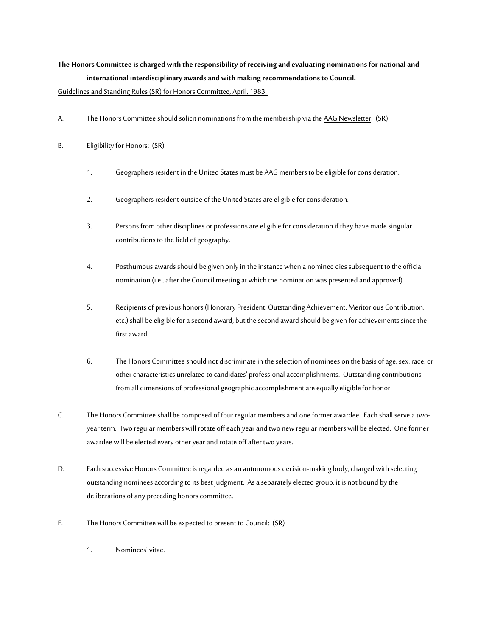## **The Honors Committee is charged with the responsibility of receiving and evaluating nominations for national and international interdisciplinary awards and with making recommendations to Council.**

Guidelines and Standing Rules (SR) for Honors Committee, April, 1983.

- A. The Honors Committee should solicit nominations from the membership via the AAG Newsletter. (SR)
- B. Eligibility for Honors: (SR)
	- 1. Geographers resident in the United States must be AAG members to be eligible for consideration.
	- 2. Geographers resident outside of the United States are eligible for consideration.
	- 3. Persons from other disciplines or professions are eligible for consideration if they have made singular contributions to the field of geography.
	- 4. Posthumous awards should be given only in the instance when a nominee dies subsequent to the official nomination (i.e., after the Council meeting at which the nomination was presented and approved).
	- 5. Recipients of previous honors (Honorary President, Outstanding Achievement, Meritorious Contribution, etc.) shall be eligible for a second award, but the second award should be given for achievements since the first award.
	- 6. The Honors Committee should not discriminate in the selection of nominees on the basis of age, sex, race, or other characteristics unrelated to candidates' professional accomplishments. Outstanding contributions from all dimensions of professional geographic accomplishment are equally eligible for honor.
- C. The Honors Committee shall be composed of four regular members and one former awardee. Each shall serve a twoyear term. Two regular members will rotate off each year and two new regular members will be elected. One former awardee will be elected every other year and rotate off after two years.
- D. Each successive Honors Committee is regarded as an autonomous decision-making body, charged with selecting outstanding nominees according to its best judgment. As a separately elected group, it is not bound by the deliberations of any preceding honors committee.
- E. The Honors Committee will be expected to present to Council: (SR)
	- 1. Nominees' vitae.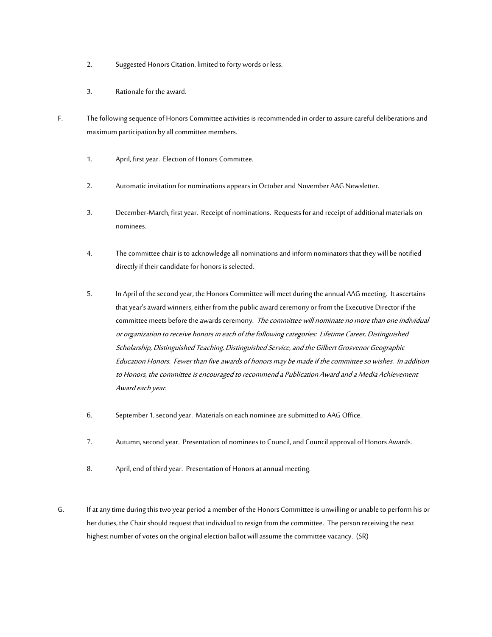- 2. Suggested Honors Citation, limited to forty words or less.
- 3. Rationale for the award.
- F. The following sequence of Honors Committee activities is recommended in order to assure careful deliberations and maximum participation by all committee members.
	- 1. April, first year. Election of Honors Committee.
	- 2. Automatic invitation for nominations appears in October and November AAG Newsletter.
	- 3. December-March, first year. Receipt of nominations. Requests for and receipt of additional materials on nominees.
	- 4. The committee chair is to acknowledge all nominations and inform nominators that they will be notified directly if their candidate for honors is selected.
	- 5. In April of the second year, the Honors Committee will meet during the annual AAG meeting. It ascertains that year's award winners, either from the public award ceremony or from the Executive Director if the committee meets before the awards ceremony. The committee will nominate no more than one individual or organization to receive honors in each of the following categories: Lifetime Career, Distinguished Scholarship, Distinguished Teaching, Distinguished Service, and the Gilbert Grosvenor Geographic Education Honors. Fewer than five awards of honors may be made if the committee so wishes. In addition to Honors, the committee is encouraged to recommend a Publication Award and a Media Achievement Award each year.
	- 6. September 1, second year. Materials on each nominee are submitted to AAG Office.
	- 7. Autumn, second year. Presentation of nominees to Council, and Council approval of Honors Awards.
	- 8. April, end of third year. Presentation of Honors at annual meeting.
- G. If at any time during this two year period a member of the Honors Committee is unwilling or unable to perform his or her duties, the Chair should request that individual to resign from the committee. The person receiving the next highest number of votes on the original election ballot will assume the committee vacancy. (SR)